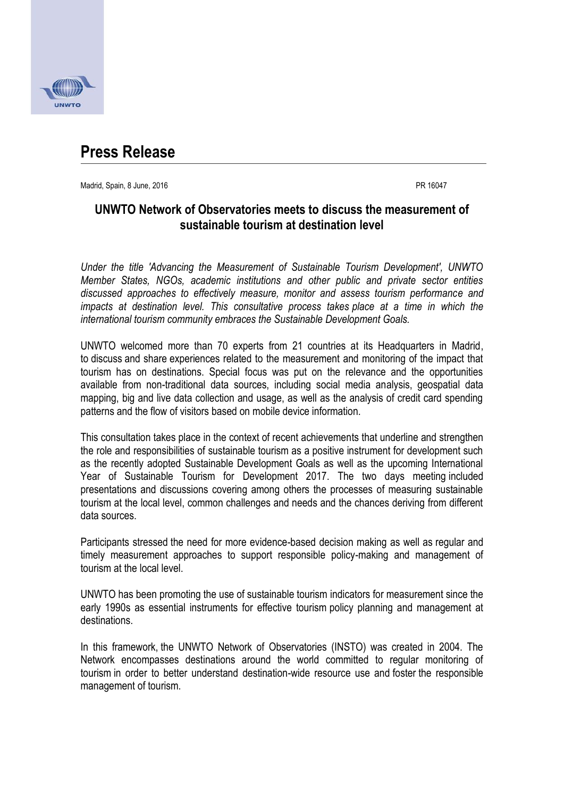

## **Press Release**

Madrid, Spain, 8 June, 2016 PR 16047

## **UNWTO Network of Observatories meets to discuss the measurement of sustainable tourism at destination level**

*Under the title 'Advancing the Measurement of Sustainable Tourism Development', UNWTO Member States, NGOs, academic institutions and other public and private sector entities discussed approaches to effectively measure, monitor and assess tourism performance and impacts at destination level. This consultative process takes place at a time in which the international tourism community embraces the Sustainable Development Goals.*

UNWTO welcomed more than 70 experts from 21 countries at its Headquarters in Madrid, to discuss and share experiences related to the measurement and monitoring of the impact that tourism has on destinations. Special focus was put on the relevance and the opportunities available from non-traditional data sources, including social media analysis, geospatial data mapping, big and live data collection and usage, as well as the analysis of credit card spending patterns and the flow of visitors based on mobile device information.

This consultation takes place in the context of recent achievements that underline and strengthen the role and responsibilities of sustainable tourism as a positive instrument for development such as the recently adopted Sustainable Development Goals as well as the upcoming International Year of Sustainable Tourism for Development 2017. The two days meeting included presentations and discussions covering among others the processes of measuring sustainable tourism at the local level, common challenges and needs and the chances deriving from different data sources.

Participants stressed the need for more evidence-based decision making as well as regular and timely measurement approaches to support responsible policy-making and management of tourism at the local level.

UNWTO has been promoting the use of sustainable tourism indicators for measurement since the early 1990s as essential instruments for effective tourism policy planning and management at destinations.

In this framework, the UNWTO Network of Observatories (INSTO) was created in 2004. The Network encompasses destinations around the world committed to regular monitoring of tourism in order to better understand destination-wide resource use and foster the responsible management of tourism.